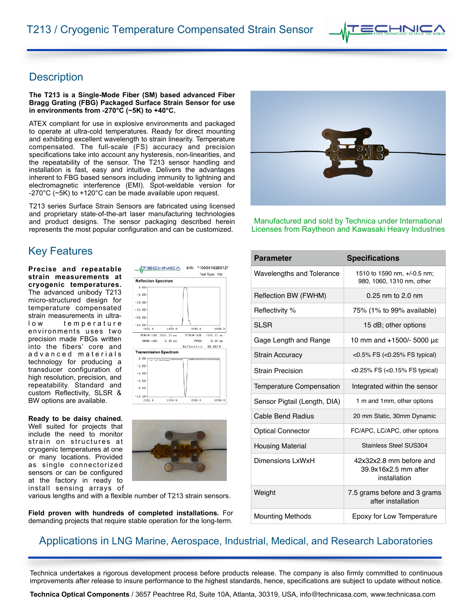## **Description**

**The T213 is a Single-Mode Fiber (SM) based advanced Fiber Bragg Grating (FBG) Packaged Surface Strain Sensor for use in environments from -270°C (~5K) to +40°C.** 

ATEX compliant for use in explosive environments and packaged to operate at ultra-cold temperatures. Ready for direct mounting and exhibiting excellent wavelength to strain linearity. Temperature compensated. The full-scale (FS) accuracy and precision specifications take into account any hysteresis, non-linearities, and the repeatability of the sensor. The T213 sensor handling and installation is fast, easy and intuitive. Delivers the advantages inherent to FBG based sensors including immunity to lightning and electromagnetic interference (EMI). Spot-weldable version for -270°C (~5K) to +120°C can be made available upon request.

T213 series Surface Strain Sensors are fabricated using licensed and proprietary state-of-the-art laser manufacturing technologies and product designs. The sensor packaging described herein represents the most popular configuration and can be customized.

**ATECHNICA** 

 $1554.0$ 

1555, 15 nm

 $0, 30$  nn

 $1554.0$ 

**Reflection Spectrum**  $0.00$  $-5.00$  $-10.00$  $-15.00$  $-20.00$  $-25.00 - 15520$ 

RCWL@-3dB

 $0.00 -2.00$  $-4.00$  $-6.00$  $-8.00$  $-10.26 =$ 

RBW@-3dB:

**Transmission Spectrum** 

S/N: \*109041826012\* Test Type: FIN

1556.0

FWHM:

1556.0

CVL@-3dB

1558 (

 $15m$ 

1558.

 $0.30 m$ Reflectivit 90.581%

# **Key Features**

**Precise and repeatable strain measurements at cryogenic temperatures.**  The advanced unibody T213 micro-structured design for temperature compensated strain measurements in ultralow temperature environments uses two precision made FBGs written into the fibers' core and ad v a n c e d materials technology for producing a transducer configuration of high resolution, precision, and repeatability. Standard and custom Reflectivity, SLSR & BW options are available.

**Ready to be daisy chained.**  Well suited for projects that include the need to monitor strain on structures at cryogenic temperatures at one or many locations. Provided as single connectorized sensors or can be configured at the factory in ready to install sensing arrays of



various lengths and with a flexible number of T213 strain sensors.

**Field proven with hundreds of completed installations.** For demanding projects that require stable operation for the long-term.



Manufactured and sold by Technica under International Licenses from Raytheon and Kawasaki Heavy Industries

| <b>Parameter</b>                 | <b>Specifications</b>                                           |
|----------------------------------|-----------------------------------------------------------------|
| <b>Wavelengths and Tolerance</b> | 1510 to 1590 nm, +/-0.5 nm;<br>980, 1060, 1310 nm, other        |
| Reflection BW (FWHM)             | $0.25$ nm to $2.0$ nm                                           |
| Reflectivity %                   | 75% (1% to 99% available)                                       |
| SI SR                            | 15 dB; other options                                            |
| Gage Length and Range            | 10 mm and +1500/- 5000 με                                       |
| <b>Strain Accuracy</b>           | $<$ 0.5% FS ( $<$ 0.25% FS typical)                             |
| <b>Strain Precision</b>          | <0.25% FS (<0.15% FS typical)                                   |
| Temperature Compensation         | Integrated within the sensor                                    |
| Sensor Pigtail (Length, DIA)     | 1 m and 1mm, other options                                      |
| Cable Bend Radius                | 20 mm Static, 30mm Dynamic                                      |
| <b>Optical Connector</b>         | FC/APC, LC/APC, other options                                   |
| <b>Housing Material</b>          | Stainless Steel SUS304                                          |
| Dimensions LxWxH                 | 42x32x2.8 mm before and<br>39.9x16x2.5 mm after<br>installation |
| Weight                           | 7.5 grams before and 3 grams<br>after installation              |
| <b>Mounting Methods</b>          | Epoxy for Low Temperature                                       |

### Applications in LNG Marine, Aerospace, Industrial, Medical, and Research Laboratories

Technica undertakes a rigorous development process before products release. The company is also firmly committed to continuous improvements after release to insure performance to the highest standards, hence, specifications are subject to update without notice.

**Technica Optical Components** / 3657 Peachtree Rd, Suite 10A, Atlanta, 30319, USA, [info@technicasa.com](mailto:info@technicasa.com), [www.technicasa.com](http://www.technicasa.com)